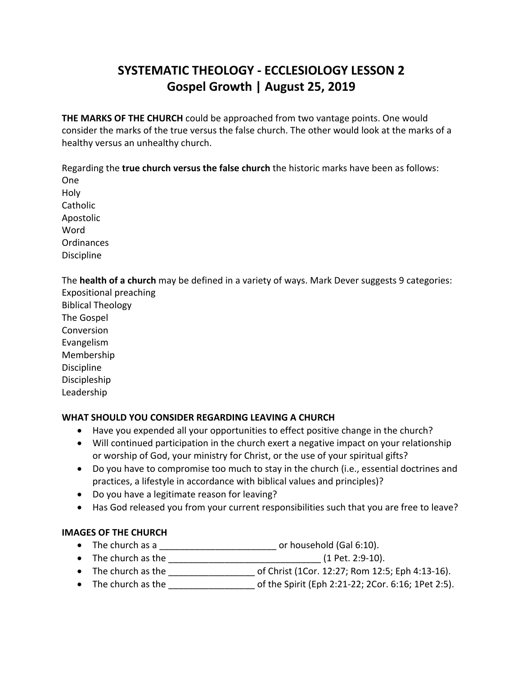# **SYSTEMATIC THEOLOGY - ECCLESIOLOGY LESSON 2 Gospel Growth | August 25, 2019**

**THE MARKS OF THE CHURCH** could be approached from two vantage points. One would consider the marks of the true versus the false church. The other would look at the marks of a healthy versus an unhealthy church.

Regarding the **true church versus the false church** the historic marks have been as follows:

One Holy Catholic Apostolic Word Ordinances Discipline

The **health of a church** may be defined in a variety of ways. Mark Dever suggests 9 categories:

Expositional preaching Biblical Theology The Gospel Conversion Evangelism Membership Discipline Discipleship Leadership

# **WHAT SHOULD YOU CONSIDER REGARDING LEAVING A CHURCH**

- Have you expended all your opportunities to effect positive change in the church?
- Will continued participation in the church exert a negative impact on your relationship or worship of God, your ministry for Christ, or the use of your spiritual gifts?
- Do you have to compromise too much to stay in the church (i.e., essential doctrines and practices, a lifestyle in accordance with biblical values and principles)?
- Do you have a legitimate reason for leaving?
- Has God released you from your current responsibilities such that you are free to leave?

# **IMAGES OF THE CHURCH**

- The church as a \_\_\_\_\_\_\_\_\_\_\_\_\_\_\_\_\_\_\_\_\_\_\_ or household (Gal 6:10).
- The church as the  $\frac{1}{2}$   $\frac{1}{2}$   $\frac{1}{2}$   $\frac{1}{2}$   $\frac{1}{2}$   $\frac{1}{2}$   $\frac{1}{2}$   $\frac{1}{2}$   $\frac{1}{2}$   $\frac{1}{2}$   $\frac{1}{2}$   $\frac{1}{2}$   $\frac{1}{2}$   $\frac{1}{2}$   $\frac{1}{2}$   $\frac{1}{2}$   $\frac{1}{2}$   $\frac{1}{2}$   $\frac{1}{2}$   $\frac{1}{2}$
- The church as the  $\bullet$  of Christ (1Cor. 12:27; Rom 12:5; Eph 4:13-16).
- The church as the  $\bullet$  of the Spirit (Eph 2:21-22; 2Cor. 6:16; 1Pet 2:5).